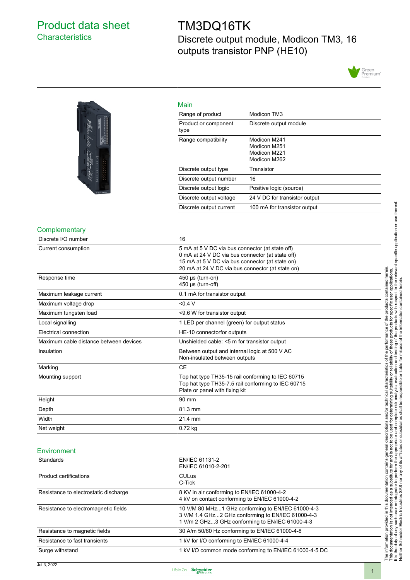### <span id="page-0-0"></span>Product data sheet **Characteristics**

### TM3DQ16TK Discrete output module, Modicon TM3, 16 outputs transistor PNP (HE10)





| Main                         |                                                              |
|------------------------------|--------------------------------------------------------------|
| Range of product             | Modicon TM3                                                  |
| Product or component<br>type | Discrete output module                                       |
| Range compatibility          | Modicon M241<br>Modicon M251<br>Modicon M221<br>Modicon M262 |
| Discrete output type         | Transistor                                                   |
| Discrete output number       | 16                                                           |
| Discrete output logic        | Positive logic (source)                                      |
| Discrete output voltage      | 24 V DC for transistor output                                |
| Discrete output current      | 100 mA for transistor output                                 |

#### **Complementary**

| Discrete I/O number                    | 16                                                                                                                                                                                                         |  |  |  |
|----------------------------------------|------------------------------------------------------------------------------------------------------------------------------------------------------------------------------------------------------------|--|--|--|
| Current consumption                    | 5 mA at 5 V DC via bus connector (at state off)<br>0 mA at 24 V DC via bus connector (at state off)<br>15 mA at 5 V DC via bus connector (at state on)<br>20 mA at 24 V DC via bus connector (at state on) |  |  |  |
| Response time                          | 450 µs (turn-on)<br>450 µs (turn-off)                                                                                                                                                                      |  |  |  |
| Maximum leakage current                | 0.1 mA for transistor output                                                                                                                                                                               |  |  |  |
| Maximum voltage drop                   | < 0.4 V                                                                                                                                                                                                    |  |  |  |
| Maximum tungsten load                  | <9.6 W for transistor output                                                                                                                                                                               |  |  |  |
| Local signalling                       | 1 LED per channel (green) for output status                                                                                                                                                                |  |  |  |
| Electrical connection                  | HE-10 connectorfor outputs                                                                                                                                                                                 |  |  |  |
| Maximum cable distance between devices | Unshielded cable: <5 m for transistor output                                                                                                                                                               |  |  |  |
| Insulation                             | Between output and internal logic at 500 V AC<br>Non-insulated between outputs                                                                                                                             |  |  |  |
| Marking                                | <b>CE</b>                                                                                                                                                                                                  |  |  |  |
| Mounting support                       | Top hat type TH35-15 rail conforming to IEC 60715<br>Top hat type TH35-7.5 rail conforming to IEC 60715<br>Plate or panel with fixing kit                                                                  |  |  |  |
| Height                                 | 90 mm                                                                                                                                                                                                      |  |  |  |
| Depth                                  | 81.3 mm                                                                                                                                                                                                    |  |  |  |
| Width                                  | 21.4 mm                                                                                                                                                                                                    |  |  |  |
|                                        | 0.72 kg                                                                                                                                                                                                    |  |  |  |

| Standards                             | EN/IEC 61131-2<br>EN/IEC 61010-2-201                                                                                                                      |  |  |
|---------------------------------------|-----------------------------------------------------------------------------------------------------------------------------------------------------------|--|--|
| <b>Product certifications</b>         | <b>CULus</b><br>C-Tick                                                                                                                                    |  |  |
| Resistance to electrostatic discharge | 8 KV in air conforming to EN/IEC 61000-4-2<br>4 kV on contact conforming to EN/IEC 61000-4-2                                                              |  |  |
| Resistance to electromagnetic fields  | 10 V/M 80 MHz1 GHz conforming to EN/IEC 61000-4-3<br>3 V/M 1.4 GHz2 GHz conforming to EN/IEC 61000-4-3<br>1 V/m 2 GHz3 GHz conforming to EN/IEC 61000-4-3 |  |  |
| Resistance to magnetic fields         | 30 A/m 50/60 Hz conforming to EN/IEC 61000-4-8                                                                                                            |  |  |
| Resistance to fast transients         | 1 kV for I/O conforming to EN/IEC 61000-4-4                                                                                                               |  |  |
| Surge withstand                       | 1 kV I/O common mode conforming to EN/IEC 61000-4-5 DC                                                                                                    |  |  |

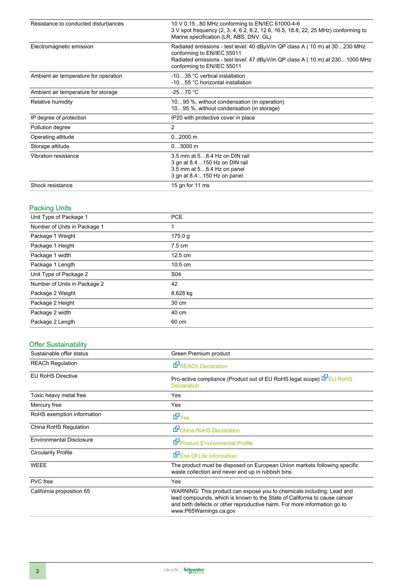| Resistance to conducted disturbances  | 10 V 0.1580 MHz conforming to EN/IEC 61000-4-6<br>3 V spot frequency (2, 3, 4, 6.2, 8.2, 12.6, 16.5, 18.8, 22, 25 MHz) conforming to<br>Marine specification (LR, ABS, DNV, GL)<br>Radiated emissions - test level: 40 dBµV/m QP class A (10 m) at 30230 MHz<br>conforming to EN/IEC 55011<br>Radiated emissions - test level: 47 dBµV/m QP class A (10 m) at 2301000 MHz<br>conforming to EN/IEC 55011 |  |  |  |  |
|---------------------------------------|---------------------------------------------------------------------------------------------------------------------------------------------------------------------------------------------------------------------------------------------------------------------------------------------------------------------------------------------------------------------------------------------------------|--|--|--|--|
| Electromagnetic emission              |                                                                                                                                                                                                                                                                                                                                                                                                         |  |  |  |  |
| Ambient air temperature for operation | -1035 °C vertical installation<br>-1055 °C horizontal installation                                                                                                                                                                                                                                                                                                                                      |  |  |  |  |
| Ambient air temperature for storage   | $-2570 °C$                                                                                                                                                                                                                                                                                                                                                                                              |  |  |  |  |
| Relative humidity                     | 1095 %, without condensation (in operation)<br>1095 %, without condensation (in storage)                                                                                                                                                                                                                                                                                                                |  |  |  |  |
| IP degree of protection               | IP20 with protective cover in place                                                                                                                                                                                                                                                                                                                                                                     |  |  |  |  |
| Pollution degree                      | 2                                                                                                                                                                                                                                                                                                                                                                                                       |  |  |  |  |
| Operating altitude                    | $02000$ m                                                                                                                                                                                                                                                                                                                                                                                               |  |  |  |  |
| Storage altitude                      | $03000$ m                                                                                                                                                                                                                                                                                                                                                                                               |  |  |  |  |
| Vibration resistance                  | 3.5 mm at 58.4 Hz on DIN rail<br>3 gn at 8.4150 Hz on DIN rail<br>3.5 mm at 58.4 Hz on panel<br>3 gn at 8.4150 Hz on panel                                                                                                                                                                                                                                                                              |  |  |  |  |
| Shock resistance                      | 15 gn for 11 ms                                                                                                                                                                                                                                                                                                                                                                                         |  |  |  |  |

#### Packing Units

| Unit Type of Package 1       | <b>PCE</b>        |  |
|------------------------------|-------------------|--|
| Number of Units in Package 1 | 1                 |  |
| Package 1 Weight             | 175.0 g           |  |
| Package 1 Height             | $7.5 \text{ cm}$  |  |
| Package 1 width              | $12.5 \text{ cm}$ |  |
| Package 1 Length             | $10.5 \text{ cm}$ |  |
| Unit Type of Package 2       | S04               |  |
| Number of Units in Package 2 | 42                |  |
| Package 2 Weight             | 8.628 kg          |  |
| Package 2 Height             | 30 cm             |  |
| Package 2 width              | 40 cm             |  |
| Package 2 Length             | 60 cm             |  |
|                              |                   |  |

#### Offer Sustainability

| Sustainable offer status        | Green Premium product                                                                                                                                                                                                                                    |  |  |  |
|---------------------------------|----------------------------------------------------------------------------------------------------------------------------------------------------------------------------------------------------------------------------------------------------------|--|--|--|
| <b>REACh Regulation</b>         | <b>E</b> <sup>P</sup> REACh Declaration                                                                                                                                                                                                                  |  |  |  |
| <b>EU RoHS Directive</b>        | Pro-active compliance (Product out of EU RoHS legal scope) EPEU RoHS<br><b>Declaration</b>                                                                                                                                                               |  |  |  |
| Toxic heavy metal free          | Yes                                                                                                                                                                                                                                                      |  |  |  |
| Mercury free                    | Yes                                                                                                                                                                                                                                                      |  |  |  |
| RoHS exemption information      | <b>E</b> Yes                                                                                                                                                                                                                                             |  |  |  |
| China RoHS Regulation           | China RoHS Declaration                                                                                                                                                                                                                                   |  |  |  |
| <b>Environmental Disclosure</b> | Product Environmental Profile                                                                                                                                                                                                                            |  |  |  |
| Circularity Profile             | End Of Life Information                                                                                                                                                                                                                                  |  |  |  |
| <b>WEEE</b>                     | The product must be disposed on European Union markets following specific<br>waste collection and never end up in rubbish bins                                                                                                                           |  |  |  |
| <b>PVC</b> free                 | Yes                                                                                                                                                                                                                                                      |  |  |  |
| California proposition 65       | WARNING: This product can expose you to chemicals including: Lead and<br>lead compounds, which is known to the State of California to cause cancer<br>and birth defects or other reproductive harm. For more information go to<br>www.P65Warnings.ca.gov |  |  |  |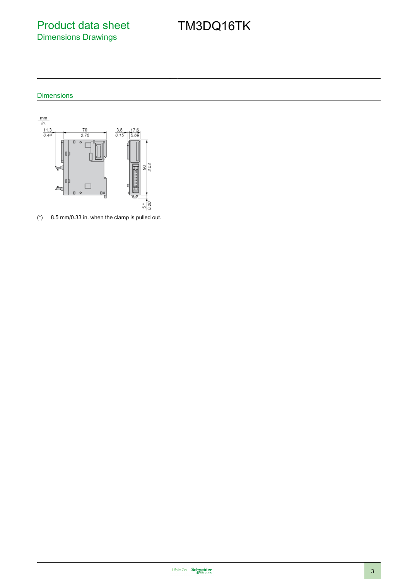### Product data sheet Dimensions Drawings

## TM3DQ16TK

Dimensions



(\*) 8.5 mm/0.33 in. when the clamp is pulled out.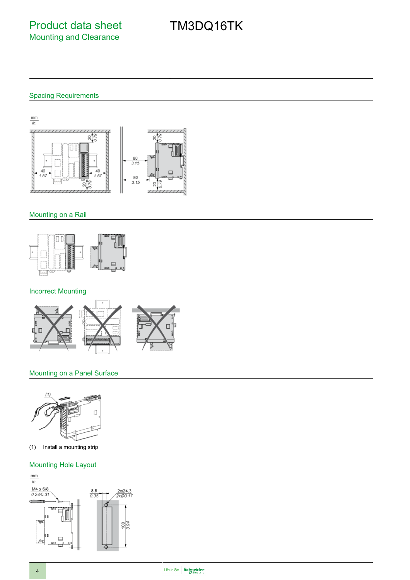# TM3DQ16TK

#### Spacing Requirements

 $\frac{mm}{in.}$ 긲  $\overline{111}$  $\overline{\phantom{a}}$ g  $\frac{80}{3.15}$ 80  $3.15$ 20  $\mathcal{R}$  $\frac{1}{2}$ 

#### Mounting on a Rail



#### Incorrect Mounting



#### Mounting on a Panel Surface



(1) Install a mounting strip

#### Mounting Hole Layout